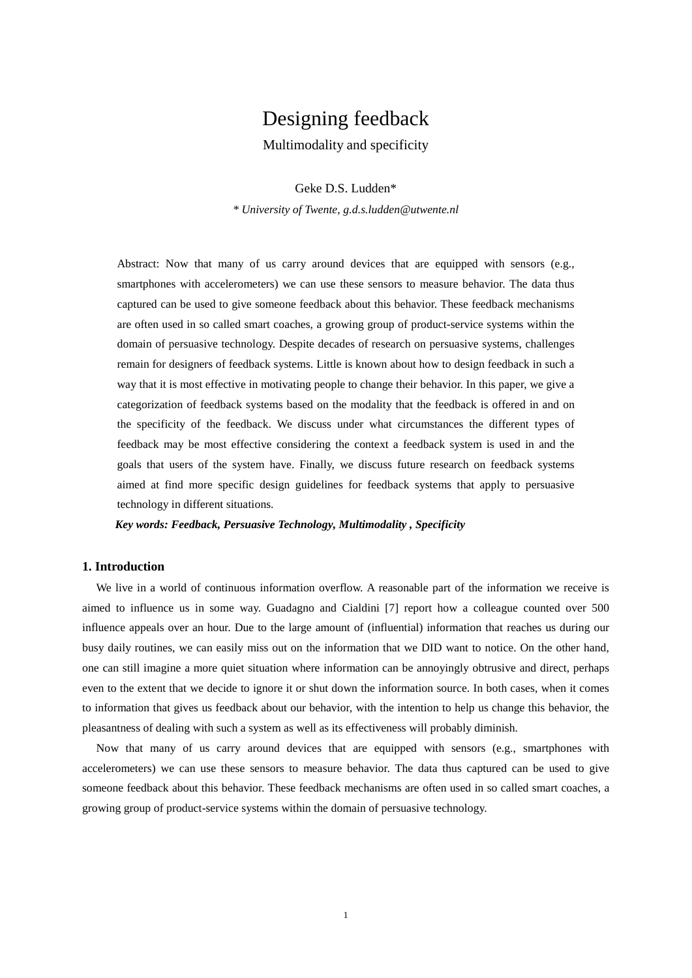# Designing feedback

Multimodality and specificity

Geke D.S. Ludden\*

*\* University of Twente, g.d.s.ludden@utwente.nl*

Abstract: Now that many of us carry around devices that are equipped with sensors (e.g., smartphones with accelerometers) we can use these sensors to measure behavior. The data thus captured can be used to give someone feedback about this behavior. These feedback mechanisms are often used in so called smart coaches, a growing group of product-service systems within the domain of persuasive technology. Despite decades of research on persuasive systems, challenges remain for designers of feedback systems. Little is known about how to design feedback in such a way that it is most effective in motivating people to change their behavior. In this paper, we give a categorization of feedback systems based on the modality that the feedback is offered in and on the specificity of the feedback. We discuss under what circumstances the different types of feedback may be most effective considering the context a feedback system is used in and the goals that users of the system have. Finally, we discuss future research on feedback systems aimed at find more specific design guidelines for feedback systems that apply to persuasive technology in different situations.

*Key words: Feedback, Persuasive Technology, Multimodality , Specificity*

# **1. Introduction**

We live in a world of continuous information overflow. A reasonable part of the information we receive is aimed to influence us in some way. Guadagno and Cialdini [7] report how a colleague counted over 500 influence appeals over an hour. Due to the large amount of (influential) information that reaches us during our busy daily routines, we can easily miss out on the information that we DID want to notice. On the other hand, one can still imagine a more quiet situation where information can be annoyingly obtrusive and direct, perhaps even to the extent that we decide to ignore it or shut down the information source. In both cases, when it comes to information that gives us feedback about our behavior, with the intention to help us change this behavior, the pleasantness of dealing with such a system as well as its effectiveness will probably diminish.

Now that many of us carry around devices that are equipped with sensors (e.g., smartphones with accelerometers) we can use these sensors to measure behavior. The data thus captured can be used to give someone feedback about this behavior. These feedback mechanisms are often used in so called smart coaches, a growing group of product-service systems within the domain of persuasive technology.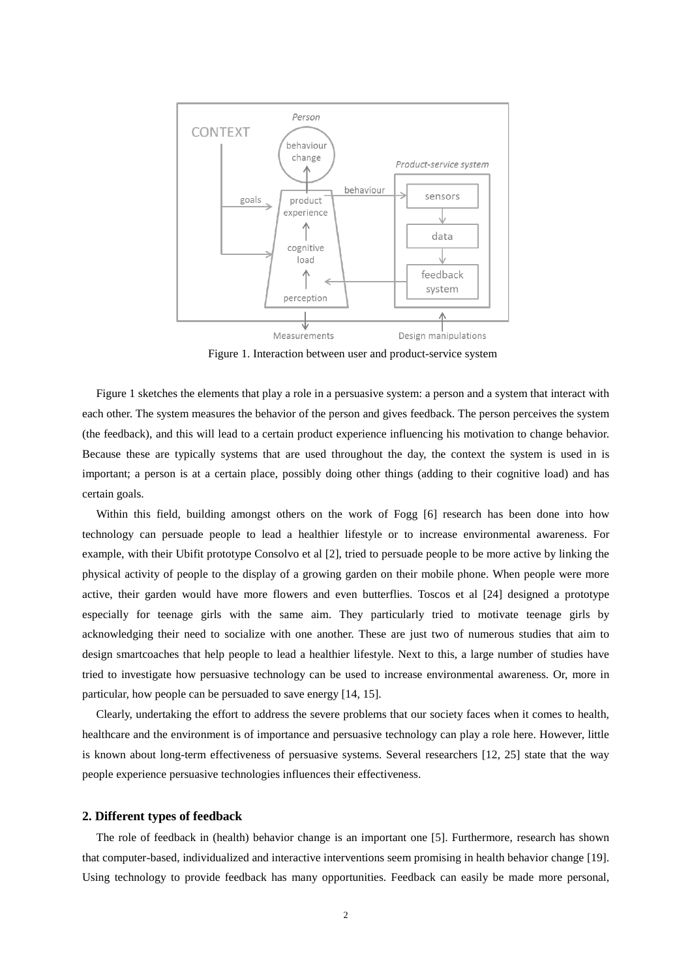

Figure 1. Interaction between user and product-service system

Figure 1 sketches the elements that play a role in a persuasive system: a person and a system that interact with each other. The system measures the behavior of the person and gives feedback. The person perceives the system (the feedback), and this will lead to a certain product experience influencing his motivation to change behavior. Because these are typically systems that are used throughout the day, the context the system is used in is important; a person is at a certain place, possibly doing other things (adding to their cognitive load) and has certain goals.

Within this field, building amongst others on the work of Fogg [6] research has been done into how technology can persuade people to lead a healthier lifestyle or to increase environmental awareness. For example, with their Ubifit prototype Consolvo et al [2], tried to persuade people to be more active by linking the physical activity of people to the display of a growing garden on their mobile phone. When people were more active, their garden would have more flowers and even butterflies. Toscos et al [24] designed a prototype especially for teenage girls with the same aim. They particularly tried to motivate teenage girls by acknowledging their need to socialize with one another. These are just two of numerous studies that aim to design smartcoaches that help people to lead a healthier lifestyle. Next to this, a large number of studies have tried to investigate how persuasive technology can be used to increase environmental awareness. Or, more in particular, how people can be persuaded to save energy [14, 15].

Clearly, undertaking the effort to address the severe problems that our society faces when it comes to health, healthcare and the environment is of importance and persuasive technology can play a role here. However, little is known about long-term effectiveness of persuasive systems. Several researchers [12, 25] state that the way people experience persuasive technologies influences their effectiveness.

# **2. Different types of feedback**

The role of feedback in (health) behavior change is an important one [5]. Furthermore, research has shown that computer-based, individualized and interactive interventions seem promising in health behavior change [19]. Using technology to provide feedback has many opportunities. Feedback can easily be made more personal,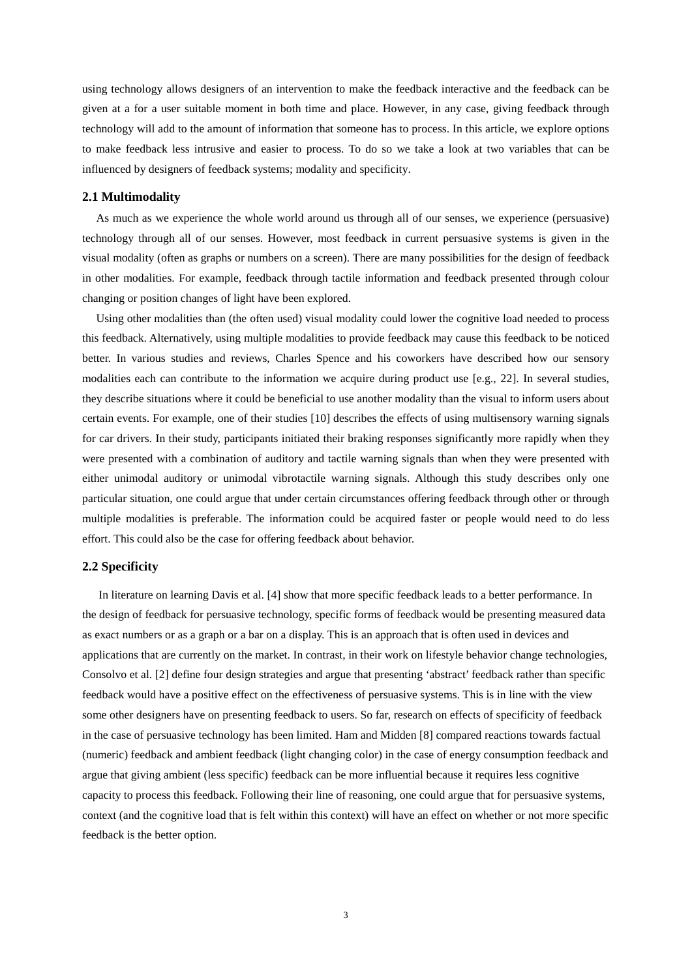using technology allows designers of an intervention to make the feedback interactive and the feedback can be given at a for a user suitable moment in both time and place. However, in any case, giving feedback through technology will add to the amount of information that someone has to process. In this article, we explore options to make feedback less intrusive and easier to process. To do so we take a look at two variables that can be influenced by designers of feedback systems; modality and specificity.

## **2.1 Multimodality**

As much as we experience the whole world around us through all of our senses, we experience (persuasive) technology through all of our senses. However, most feedback in current persuasive systems is given in the visual modality (often as graphs or numbers on a screen). There are many possibilities for the design of feedback in other modalities. For example, feedback through tactile information and feedback presented through colour changing or position changes of light have been explored.

Using other modalities than (the often used) visual modality could lower the cognitive load needed to process this feedback. Alternatively, using multiple modalities to provide feedback may cause this feedback to be noticed better. In various studies and reviews, Charles Spence and his coworkers have described how our sensory modalities each can contribute to the information we acquire during product use [e.g., 22]. In several studies, they describe situations where it could be beneficial to use another modality than the visual to inform users about certain events. For example, one of their studies [10] describes the effects of using multisensory warning signals for car drivers. In their study, participants initiated their braking responses significantly more rapidly when they were presented with a combination of auditory and tactile warning signals than when they were presented with either unimodal auditory or unimodal vibrotactile warning signals. Although this study describes only one particular situation, one could argue that under certain circumstances offering feedback through other or through multiple modalities is preferable. The information could be acquired faster or people would need to do less effort. This could also be the case for offering feedback about behavior.

## **2.2 Specificity**

In literature on learning Davis et al. [4] show that more specific feedback leads to a better performance. In the design of feedback for persuasive technology, specific forms of feedback would be presenting measured data as exact numbers or as a graph or a bar on a display. This is an approach that is often used in devices and applications that are currently on the market. In contrast, in their work on lifestyle behavior change technologies, Consolvo et al. [2] define four design strategies and argue that presenting 'abstract' feedback rather than specific feedback would have a positive effect on the effectiveness of persuasive systems. This is in line with the view some other designers have on presenting feedback to users. So far, research on effects of specificity of feedback in the case of persuasive technology has been limited. Ham and Midden [8] compared reactions towards factual (numeric) feedback and ambient feedback (light changing color) in the case of energy consumption feedback and argue that giving ambient (less specific) feedback can be more influential because it requires less cognitive capacity to process this feedback. Following their line of reasoning, one could argue that for persuasive systems, context (and the cognitive load that is felt within this context) will have an effect on whether or not more specific feedback is the better option.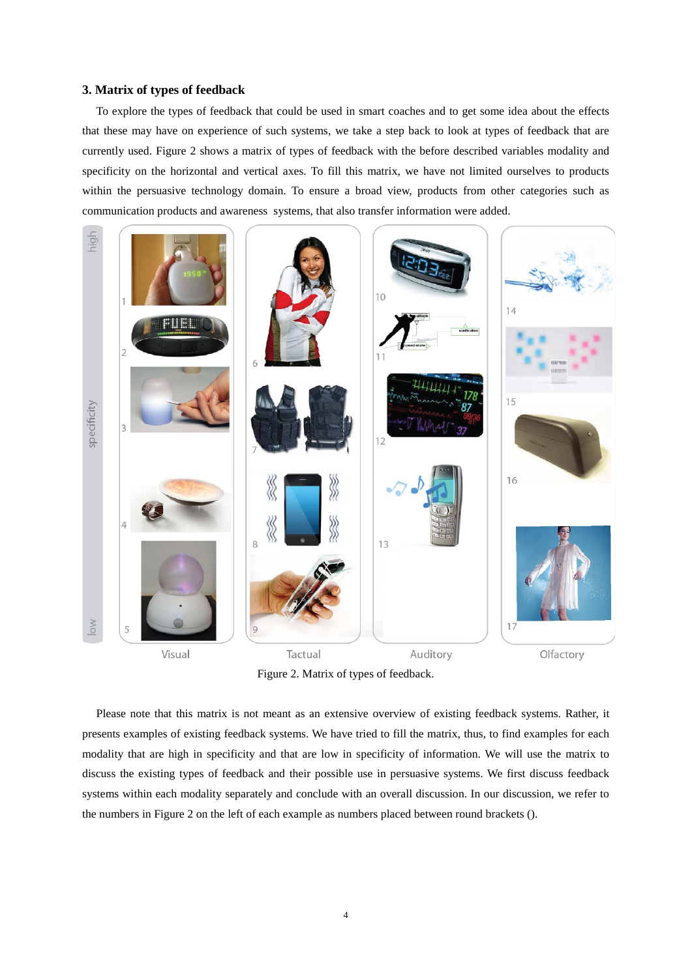# **3. Matrix of types of feedback**

To explore the types of feedback that could be used in smart coaches and to get some idea about the effects that these may have on experience of such systems, we take a step back to look at types of feedback that are currently used. Figure 2 shows a matrix of types of feedback with the before described variables modality and specificity on the horizontal and vertical axes. To fill this matrix, we have not limited ourselves to products within the persuasive technology domain. To ensure a broad view, products from other categories such as communication products and awareness systems, that also transfer information were added.



Figure 2. Matrix of types of feedback.

Please note that this matrix is not meant as an extensive overview of existing feedback systems. Rather, it presents examples of existing feedback systems. We have tried to fill the matrix, thus, to find examples for each modality that are high in specificity and that are low in specificity of information. We will use the matrix to discuss the existing types of feedback and their possible use in persuasive systems. We first discuss feedback systems within each modality separately and conclude with an overall discussion. In our discussion, we refer to the numbers in Figure 2 on the left of each example as numbers placed between round brackets ().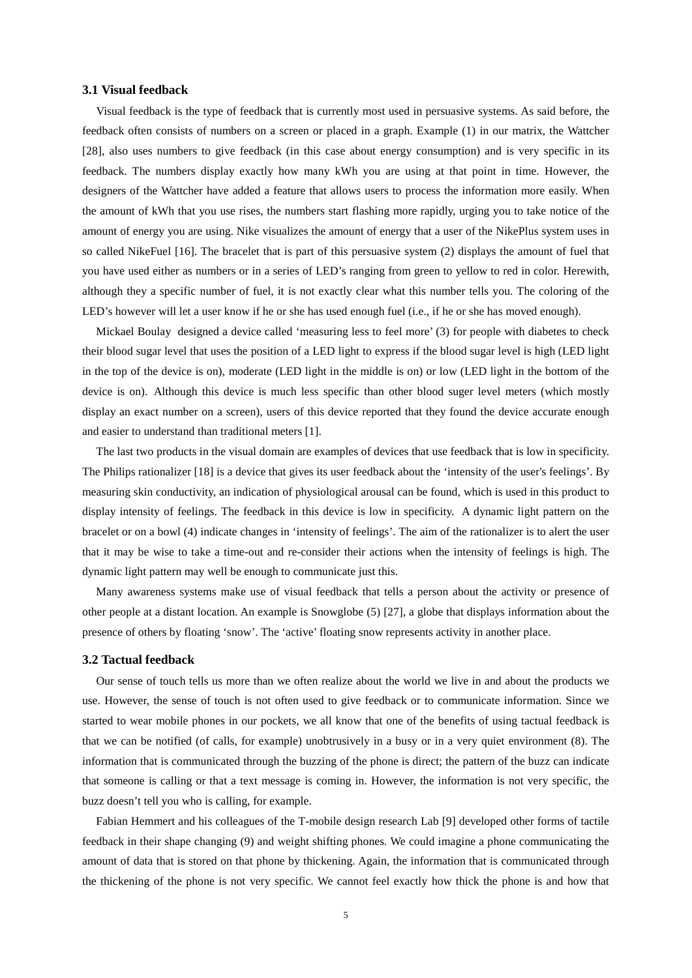#### **3.1 Visual feedback**

Visual feedback is the type of feedback that is currently most used in persuasive systems. As said before, the feedback often consists of numbers on a screen or placed in a graph. Example (1) in our matrix, the Wattcher [28], also uses numbers to give feedback (in this case about energy consumption) and is very specific in its feedback. The numbers display exactly how many kWh you are using at that point in time. However, the designers of the Wattcher have added a feature that allows users to process the information more easily. When the amount of kWh that you use rises, the numbers start flashing more rapidly, urging you to take notice of the amount of energy you are using. Nike visualizes the amount of energy that a user of the NikePlus system uses in so called NikeFuel [16]. The bracelet that is part of this persuasive system (2) displays the amount of fuel that you have used either as numbers or in a series of LED's ranging from green to yellow to red in color. Herewith, although they a specific number of fuel, it is not exactly clear what this number tells you. The coloring of the LED's however will let a user know if he or she has used enough fuel (i.e., if he or she has moved enough).

Mickael Boulay designed a device called 'measuring less to feel more' (3) for people with diabetes to check their blood sugar level that uses the position of a LED light to express if the blood sugar level is high (LED light in the top of the device is on), moderate (LED light in the middle is on) or low (LED light in the bottom of the device is on). Although this device is much less specific than other blood suger level meters (which mostly display an exact number on a screen), users of this device reported that they found the device accurate enough and easier to understand than traditional meters [1].

The last two products in the visual domain are examples of devices that use feedback that is low in specificity. The Philips rationalizer [18] is a device that gives its user feedback about the 'intensity of the user's feelings'. By measuring skin conductivity, an indication of physiological arousal can be found, which is used in this product to display intensity of feelings. The feedback in this device is low in specificity. A dynamic light pattern on the bracelet or on a bowl (4) indicate changes in 'intensity of feelings'. The aim of the rationalizer is to alert the user that it may be wise to take a time-out and re-consider their actions when the intensity of feelings is high. The dynamic light pattern may well be enough to communicate just this.

Many awareness systems make use of visual feedback that tells a person about the activity or presence of other people at a distant location. An example is Snowglobe (5) [27], a globe that displays information about the presence of others by floating 'snow'. The 'active' floating snow represents activity in another place.

## **3.2 Tactual feedback**

Our sense of touch tells us more than we often realize about the world we live in and about the products we use. However, the sense of touch is not often used to give feedback or to communicate information. Since we started to wear mobile phones in our pockets, we all know that one of the benefits of using tactual feedback is that we can be notified (of calls, for example) unobtrusively in a busy or in a very quiet environment (8). The information that is communicated through the buzzing of the phone is direct; the pattern of the buzz can indicate that someone is calling or that a text message is coming in. However, the information is not very specific, the buzz doesn't tell you who is calling, for example.

Fabian Hemmert and his colleagues of the T-mobile design research Lab [9] developed other forms of tactile feedback in their shape changing (9) and weight shifting phones. We could imagine a phone communicating the amount of data that is stored on that phone by thickening. Again, the information that is communicated through the thickening of the phone is not very specific. We cannot feel exactly how thick the phone is and how that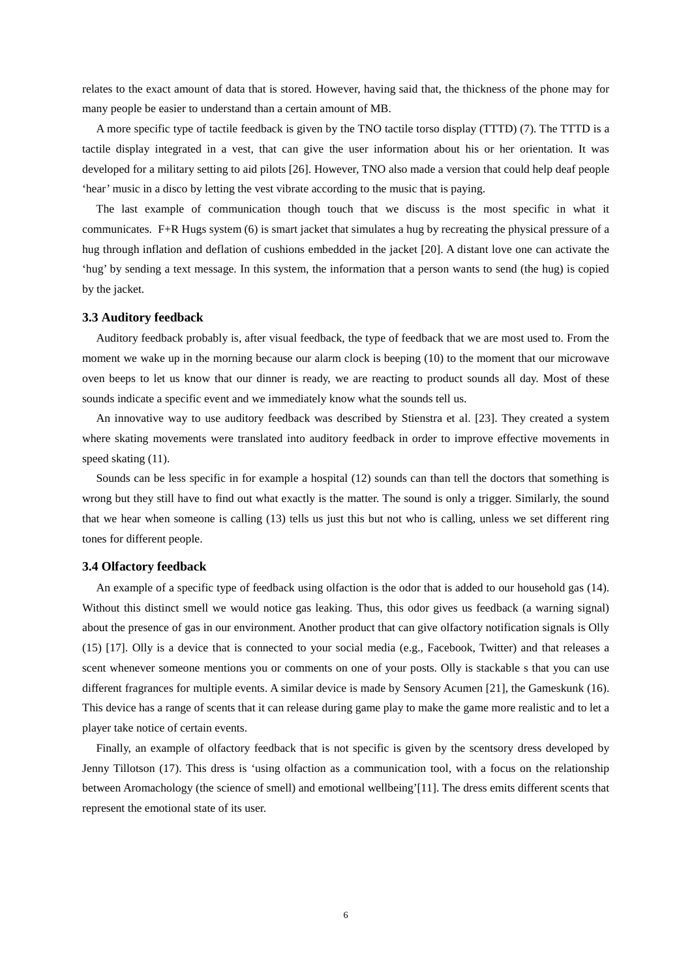relates to the exact amount of data that is stored. However, having said that, the thickness of the phone may for many people be easier to understand than a certain amount of MB.

A more specific type of tactile feedback is given by the TNO tactile torso display (TTTD) (7). The TTTD is a tactile display integrated in a vest, that can give the user information about his or her orientation. It was developed for a military setting to aid pilots [26]. However, TNO also made a version that could help deaf people 'hear' music in a disco by letting the vest vibrate according to the music that is paying.

The last example of communication though touch that we discuss is the most specific in what it communicates. F+R Hugs system (6) is smart jacket that simulates a hug by recreating the physical pressure of a hug through inflation and deflation of cushions embedded in the jacket [20]. A distant love one can activate the 'hug' by sending a text message. In this system, the information that a person wants to send (the hug) is copied by the jacket.

## **3.3 Auditory feedback**

Auditory feedback probably is, after visual feedback, the type of feedback that we are most used to. From the moment we wake up in the morning because our alarm clock is beeping (10) to the moment that our microwave oven beeps to let us know that our dinner is ready, we are reacting to product sounds all day. Most of these sounds indicate a specific event and we immediately know what the sounds tell us.

An innovative way to use auditory feedback was described by Stienstra et al. [23]. They created a system where skating movements were translated into auditory feedback in order to improve effective movements in speed skating  $(11)$ .

Sounds can be less specific in for example a hospital (12) sounds can than tell the doctors that something is wrong but they still have to find out what exactly is the matter. The sound is only a trigger. Similarly, the sound that we hear when someone is calling (13) tells us just this but not who is calling, unless we set different ring tones for different people.

## **3.4 Olfactory feedback**

An example of a specific type of feedback using olfaction is the odor that is added to our household gas (14). Without this distinct smell we would notice gas leaking. Thus, this odor gives us feedback (a warning signal) about the presence of gas in our environment. Another product that can give olfactory notification signals is Olly (15) [17]. Olly is a device that is connected to your social media (e.g., Facebook, Twitter) and that releases a scent whenever someone mentions you or comments on one of your posts. Olly is stackable s that you can use different fragrances for multiple events. A similar device is made by Sensory Acumen [21], the Gameskunk (16). This device has a range of scents that it can release during game play to make the game more realistic and to let a player take notice of certain events.

Finally, an example of olfactory feedback that is not specific is given by the scentsory dress developed by Jenny Tillotson (17). This dress is 'using olfaction as a communication tool, with a focus on the relationship between Aromachology (the science of smell) and emotional wellbeing'[11]. The dress emits different scents that represent the emotional state of its user.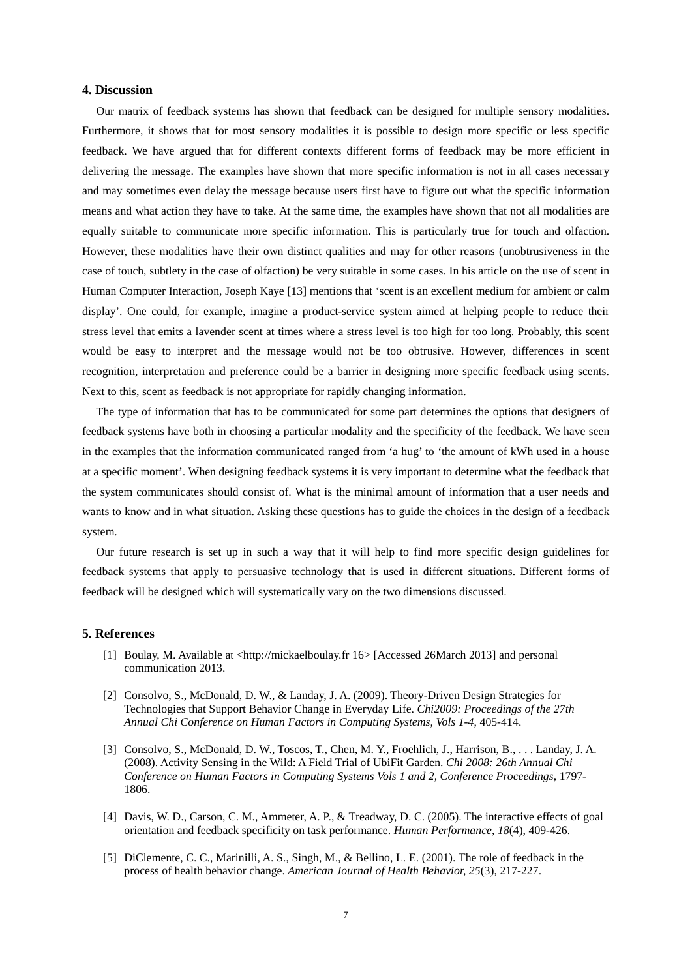# **4. Discussion**

Our matrix of feedback systems has shown that feedback can be designed for multiple sensory modalities. Furthermore, it shows that for most sensory modalities it is possible to design more specific or less specific feedback. We have argued that for different contexts different forms of feedback may be more efficient in delivering the message. The examples have shown that more specific information is not in all cases necessary and may sometimes even delay the message because users first have to figure out what the specific information means and what action they have to take. At the same time, the examples have shown that not all modalities are equally suitable to communicate more specific information. This is particularly true for touch and olfaction. However, these modalities have their own distinct qualities and may for other reasons (unobtrusiveness in the case of touch, subtlety in the case of olfaction) be very suitable in some cases. In his article on the use of scent in Human Computer Interaction, Joseph Kaye [13] mentions that 'scent is an excellent medium for ambient or calm display'. One could, for example, imagine a product-service system aimed at helping people to reduce their stress level that emits a lavender scent at times where a stress level is too high for too long. Probably, this scent would be easy to interpret and the message would not be too obtrusive. However, differences in scent recognition, interpretation and preference could be a barrier in designing more specific feedback using scents. Next to this, scent as feedback is not appropriate for rapidly changing information.

The type of information that has to be communicated for some part determines the options that designers of feedback systems have both in choosing a particular modality and the specificity of the feedback. We have seen in the examples that the information communicated ranged from 'a hug' to 'the amount of kWh used in a house at a specific moment'. When designing feedback systems it is very important to determine what the feedback that the system communicates should consist of. What is the minimal amount of information that a user needs and wants to know and in what situation. Asking these questions has to guide the choices in the design of a feedback system.

Our future research is set up in such a way that it will help to find more specific design guidelines for feedback systems that apply to persuasive technology that is used in different situations. Different forms of feedback will be designed which will systematically vary on the two dimensions discussed.

# **5. References**

- [1] Boulay, M. Available at <http://mickaelboulay.fr 16> [Accessed 26March 2013] and personal communication 2013.
- [2] Consolvo, S., McDonald, D. W., & Landay, J. A. (2009). Theory-Driven Design Strategies for Technologies that Support Behavior Change in Everyday Life. *Chi2009: Proceedings of the 27th Annual Chi Conference on Human Factors in Computing Systems, Vols 1-4*, 405-414.
- [3] Consolvo, S., McDonald, D. W., Toscos, T., Chen, M. Y., Froehlich, J., Harrison, B., . . . Landay, J. A. (2008). Activity Sensing in the Wild: A Field Trial of UbiFit Garden. *Chi 2008: 26th Annual Chi Conference on Human Factors in Computing Systems Vols 1 and 2, Conference Proceedings*, 1797- 1806.
- [4] Davis, W. D., Carson, C. M., Ammeter, A. P., & Treadway, D. C. (2005). The interactive effects of goal orientation and feedback specificity on task performance. *Human Performance, 18*(4), 409-426.
- [5] DiClemente, C. C., Marinilli, A. S., Singh, M., & Bellino, L. E. (2001). The role of feedback in the process of health behavior change. *American Journal of Health Behavior, 25*(3), 217-227.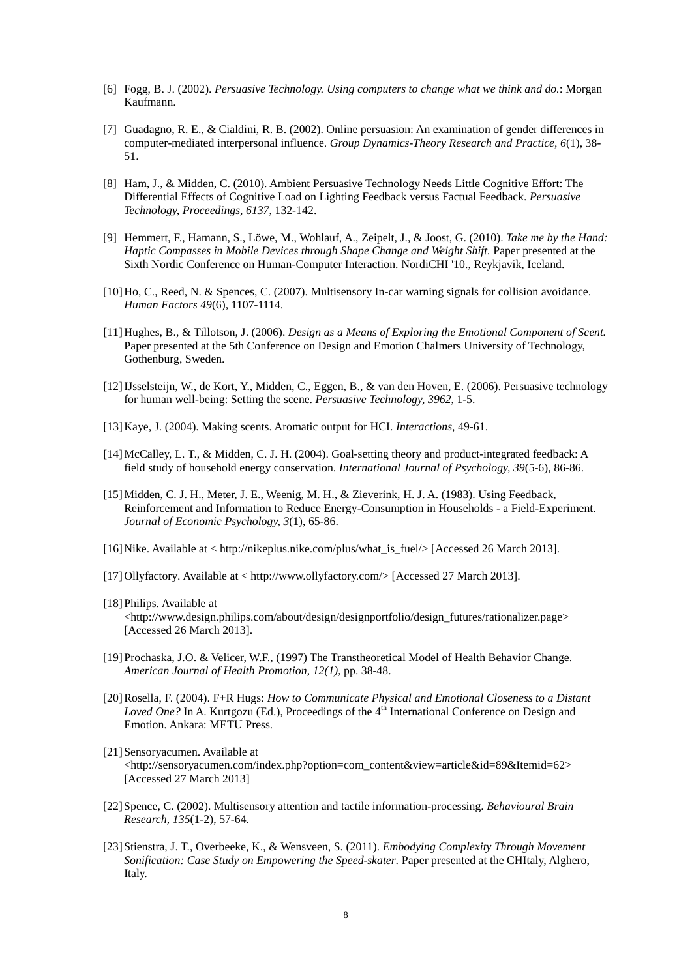- [6] Fogg, B. J. (2002). *Persuasive Technology. Using computers to change what we think and do.*: Morgan Kaufmann.
- [7] Guadagno, R. E., & Cialdini, R. B. (2002). Online persuasion: An examination of gender differences in computer-mediated interpersonal influence. *Group Dynamics-Theory Research and Practice, 6*(1), 38- 51.
- [8] Ham, J., & Midden, C. (2010). Ambient Persuasive Technology Needs Little Cognitive Effort: The Differential Effects of Cognitive Load on Lighting Feedback versus Factual Feedback. *Persuasive Technology, Proceedings, 6137*, 132-142.
- [9] Hemmert, F., Hamann, S., Löwe, M., Wohlauf, A., Zeipelt, J., & Joost, G. (2010). *Take me by the Hand: Haptic Compasses in Mobile Devices through Shape Change and Weight Shift.* Paper presented at the Sixth Nordic Conference on Human-Computer Interaction. NordiCHI '10., Reykjavik, Iceland.
- [10]Ho, C., Reed, N. & Spences, C. (2007). Multisensory In-car warning signals for collision avoidance. *Human Factors 49*(6), 1107-1114.
- [11]Hughes, B., & Tillotson, J. (2006). *Design as a Means of Exploring the Emotional Component of Scent.* Paper presented at the 5th Conference on Design and Emotion Chalmers University of Technology, Gothenburg, Sweden.
- [12]IJsselsteijn, W., de Kort, Y., Midden, C., Eggen, B., & van den Hoven, E. (2006). Persuasive technology for human well-being: Setting the scene. *Persuasive Technology, 3962*, 1-5.
- [13]Kaye, J. (2004). Making scents. Aromatic output for HCI. *Interactions*, 49-61.
- [14]McCalley, L. T., & Midden, C. J. H. (2004). Goal-setting theory and product-integrated feedback: A field study of household energy conservation. *International Journal of Psychology, 39*(5-6), 86-86.
- [15]Midden, C. J. H., Meter, J. E., Weenig, M. H., & Zieverink, H. J. A. (1983). Using Feedback, Reinforcement and Information to Reduce Energy-Consumption in Households - a Field-Experiment. *Journal of Economic Psychology, 3*(1), 65-86.
- [16]Nike. Available at < http://nikeplus.nike.com/plus/what\_is\_fuel/> [Accessed 26 March 2013].
- [17]Ollyfactory. Available at < http://www.ollyfactory.com/> [Accessed 27 March 2013].
- [18] Philips. Available at  $\langle$ http://www.design.philips.com/about/design/designportfolio/design\_futures/rationalizer.page> [Accessed 26 March 2013].
- [19]Prochaska, J.O. & Velicer, W.F., (1997) The Transtheoretical Model of Health Behavior Change. *American Journal of Health Promotion*, *12(1)*, pp. 38-48.
- [20]Rosella, F. (2004). F+R Hugs: *How to Communicate Physical and Emotional Closeness to a Distant Loved One?* In A. Kurtgozu (Ed.), Proceedings of the 4<sup>th</sup> International Conference on Design and Emotion. Ankara: METU Press.
- [21] Sensoryacumen. Available at <http://sensoryacumen.com/index.php?option=com\_content&view=article&id=89&Itemid=62> [Accessed 27 March 2013]
- [22]Spence, C. (2002). Multisensory attention and tactile information-processing. *Behavioural Brain Research, 135*(1-2), 57-64.
- [23]Stienstra, J. T., Overbeeke, K., & Wensveen, S. (2011). *Embodying Complexity Through Movement Sonification: Case Study on Empowering the Speed-skater*. Paper presented at the CHItaly, Alghero, Italy.